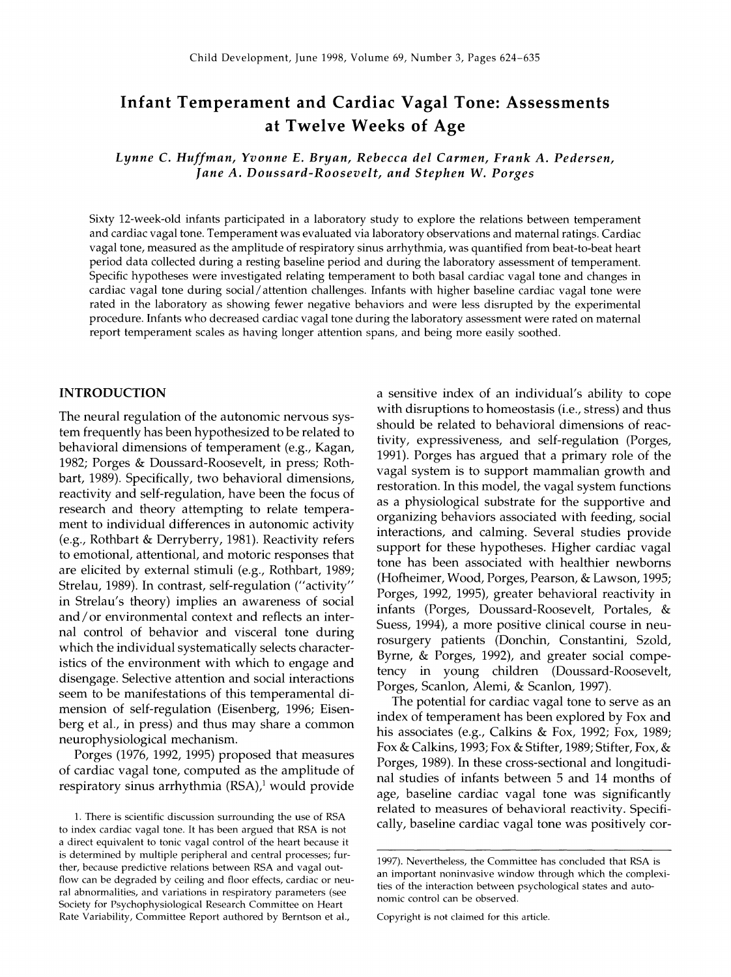# **Infant Temperament and Cardiac Vagal Tone: Assessments at Twelve Weeks of Age**

*Lynne C. Huffman, Yvonne E. Bryan, Rebecca del Carmen, Frank A. Pedersen, Jane A. Doussard-Roosevelt, and Stephen W . Porges* 

Sixty 12-week-old infants participated in a laboratory study to explore the relations between temperament and cardiac vagal tone. Temperament was evaluated via laboratory observations and maternal ratings. Cardiac vagal tone, measured as the amplitude of respiratory sinus arrhythmia, was quantified from beat-to-beat heart period data collected during a resting baseline period and during the laboratory assessment of temperament. Specific hypotheses were investigated relating temperament to both basal cardiac vagal tone and changes in cardiac vagal tone during social/attention challenges. Infants with higher baseline cardiac vagal tone were rated in the laboratory as showing fewer negative behaviors and were less disrupted by the experimental procedure. Infants who decreased cardiac vagal tone during the laboratory assessment were rated on maternal report temperament scales as having longer attention spans, and being more easily soothed.

1982; Porges & Doussard-Roosevelt, in press; Rothbart, 1989). Specifically, two behavioral dimensions, vagal system is to support mammalian growth and reactivity and self-regulation, have been the focus of restoration. In this model, the vagal system functions reactivity and self-regulation, have been the focus of as a physiological substrate for the supportive and research and theory attempting to relate temperament to individual differences in autonomic activity<br>the entriesting behaviors associated with feeding, social<br>interactions, and calming. Several studies provide (e.g., Rothbart & Derryberry, 1981). Reactivity refers interactions, and calling. Several studies provide<br>support for these hypotheses. Higher cardiac vagal to emotional, attentional, and motoric responses that are elicited by external stimuli (e.g., Rothbart, 1989; Strelau, 1989). In contrast, self-regulation ("activity" (Hofheimer, Wood, Porges, Pearson, & Lawson, 1995;  $P(1992, 1992, 1995)$ , greater behavioral reactivity in in Strelau's theory) implies an awareness of social  $P(1992, 1995)$ , greater behavioral reactivity in and/or environmental context and reflects an inter-<br>discussion of the state of the state of the state of the state of the state of the state of the state of the state of the state of the state of the state of the state of nal control of behavior and visceral tone during buess, 1994), a more positive clinical course in neu-<br>rosurgery patients (Donchin, Constantini, Szold, which the individual systematically selects character-<br>istics of the environment with which to engage and<br>lines are  $\frac{Byrne}{k}$ .  $\frac{Byrne}{k}$  Porges, 1992), and greater social compe-<br>tency in young children (Doussard-Roosev disengage. Selective attention and social interactions The young children (Doussard-<br>Porges, Scanlon, Alemi, & Scanlon, 1997). seem to be manifestations of this temperamental di-<br>The potential for cardiac vagal tone to serve as an mension of self-regulation (Eisenberg, 1996; Eisenberg et al., in press) and thus may share a common neurophysiological mechanism.<br>
his associates (e.g., Calkins & Fox, 1992; Fox, 1989; neurophysiological mechanism.

**INTRODUCTION a** sensitive index of an individual's ability to cope The neural regulation of the autonomic nervous sys-<br>tem frequently has been hypothesized to be related to<br>behavioral dimensions of temperament (e.g., Kagan, twity, expressiveness, and self-regulation (Porges,<br>1991). Porges tone has been associated with healthier newborns

index of temperament has been explored by Fox and Fox & Calkins, 1993; Fox & Stifter, 1989; Stifter, Fox, & Porges (1976, 1992, 1995) proposed that measures<br>of cardiac vagal tone, computed as the amplitude of Porges, 1989). In these cross-sectional and longitudi-<br>of cardiac vagal tone, computed as the amplitude of the local inte of cardiac vagal tone, computed as the amplitude of nal studies of infants between 5 and 14 months of respiratory sinus arrhythmia (RSA),<sup>1</sup> would provide age, baseline cardiac vagal tone was significantly related to measures of behavioral reactivity. Specifi-

<sup>1.</sup> There is scientific discussion surrounding the use of RSA to index cardiac vagal tone. It has been argued that RSA is not cally, baseline cardiac vagal tone was positively cora direct equivalent to tonic vagal control of the heart because it is determined by multiple peripheral and central processes; fur-<br>ther, because predictive relations between RSA and vagal out-<br>flow can be degraded by ceiling and floor effects, cardiac or neu-<br>ral abnormalities, and varia Rate Variability, Committee Report authored by Berntson et al., Copyright is not claimed for this article.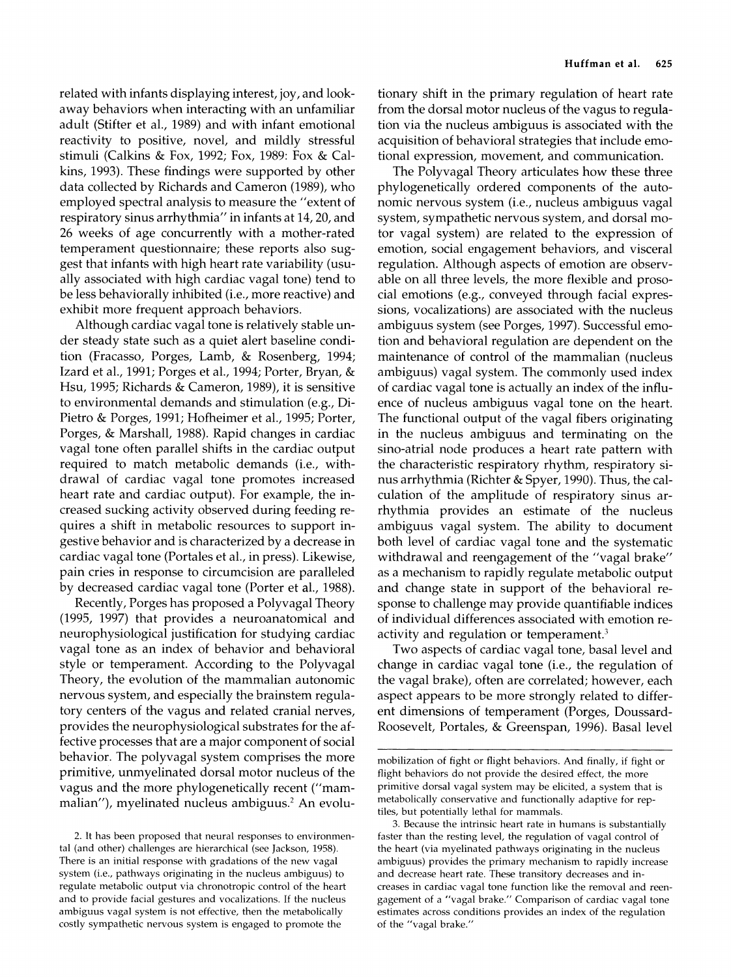related with infants displaying interest, joy, and lookaway behaviors when interacting with an unfamiliar adult (Stifter et al., 1989) and with infant emotional reactivity to positive, novel, and mildly stressful stimuli (Calkins & Fox, 1992; Fox, 1989: Fox & Calkins, 1993). These findings were supported by other data collected by Richards and Cameron (1989), who employed spectral analysis to measure the "extent of respiratory sinus arrhythmia" in infants at 14,20, and 26 weeks of age concurrently with a mother-rated temperament questionnaire; these reports also suggest that infants with high heart rate variability (usually associated with high cardiac vagal tone) tend to be less behaviorally inhibited (i.e., more reactive) and exhibit more frequent approach behaviors.

Although cardiac vagal tone is relatively stable under steady state such as a quiet alert baseline condition (Fracasso, Porges, Lamb, & Rosenberg, 1994; Izard et al., 1991; Porges et al., 1994; Porter, Bryan, & Hsu, 1995; Richards & Cameron, 1989), it is sensitive to environmental demands and stimulation (e.g., Di-Pietro & Porges, 1991; Hofheimer et al., 1995; Porter, Porges, & Marshall, 1988). Rapid changes in cardiac vagal tone often parallel shifts in the cardiac output required to match metabolic demands (i.e., withdrawal of cardiac vagal tone promotes increased heart rate and cardiac output). For example, the increased sucking activity observed during feeding requires a shift in metabolic resources to support ingestive behavior and is characterized by a decrease in cardiac vagal tone (Portales et al., in press). Likewise, pain cries in response to circumcision are paralleled by decreased cardiac vagal tone (Porter et al., 1988).

Recently, Porges has proposed a Polyvagal Theory (1995, 1997) that provides a neuroanatomical and neurophysiological justification for studying cardiac vagal tone as an index of behavior and behavioral style or temperament. According to the Polyvagal Theory, the evolution of the mammalian autonomic nervous system, and especially the brainstem regulatory centers of the vagus and related cranial nerves, provides the neurophysiological substrates for the affective processes that are a major component of social behavior. The polyvagal system comprises the more primitive, unmyelinated dorsal motor nucleus of the vagus and the more phylogenetically recent ("mammalian"), myelinated nucleus ambiguus.<sup>2</sup> An evolutionary shift in the primary regulation of heart rate from the dorsal motor nucleus of the vagus to regulation via the nucleus ambiguus is associated with the acquisition of behavioral strategies that include emotional expression, movement, and communication.

The Polyvagal Theory articulates how these three phylogenetically ordered components of the autonomic nervous system (i.e., nucleus ambiguus vagal system, sympathetic nervous system, and dorsal motor vagal system) are related to the expression of emotion, social engagement behaviors, and visceral regulation. Although aspects of emotion are observable on all three levels, the more flexible and prosocia1 emotions (e.g., conveyed through facial expressions, vocalizations) are associated with the nucleus ambiguus system (see Porges, 1997). Successful emotion and behavioral regulation are dependent on the maintenance of control of the mammalian (nucleus ambiguus) vagal system. The commonly used index of cardiac vagal tone is actually an index of the influence of nucleus ambiguus vagal tone on the heart. The functional output of the vagal fibers originating in the nucleus ambiguus and terminating on the sino-atrial node produces a heart rate pattern with the characteristic respiratory rhythm, respiratory sinus arrhythmia (Richter & Spyer, 1990). Thus, the calculation of the amplitude of respiratory sinus arrhythmia provides an estimate of the nucleus ambiguus vagal system. The ability to document both level of cardiac vagal tone and the systematic withdrawal and reengagement of the "vagal brake" as a mechanism to rapidly regulate metabolic output and change state in support of the behavioral response to challenge may provide quantifiable indices of individual differences associated with emotion reactivity and regulation or temperament.<sup>3</sup>

Two aspects of cardiac vagal tone, basal level and change in cardiac vagal tone (i.e., the regulation of the vagal brake), often are correlated; however, each aspect appears to be more strongly related to different dimensions of temperament (Porges, Doussard-Roosevelt, Portales, & Greenspan, 1996). Basal level

<sup>2.</sup> It has been proposed that neural responses to environmental (and other) challenges are hierarchical (see Jackson, 1958). There is an initial response with gradations of the new vagal system (i.e., pathways originating in the nucleus ambiguus) to regulate metabolic output via chronotropic control of the heart and to provide facial gestures and vocalizations. If the nucleus ambiguus vagal system is not effective, then the metabolically costly sympathetic nervous system is engaged to promote the

mobilization of fight or flight behaviors. And finally, if fight or flight behaviors do not provide the desired effect, the more primitive dorsal vagal system may be elicited, a system that is metabolically conservative and functionally adaptive for reptiles, but potentially lethal for mammals.

**<sup>3.</sup>** Because the intrinsic heart rate in humans is substantially faster than the resting level, the regulation of vagal control of the heart (via myelinated pathways originating in the nucleus ambiguus) provides the primary mechanism to rapidly increase and decrease heart rate. These transitory decreases and increases in cardiac vagal tone function like the removal and reengagement of a "vagal brake." Comparison of cardiac vagal tone estimates across conditions provides an index of the regulation of the "vagal brake."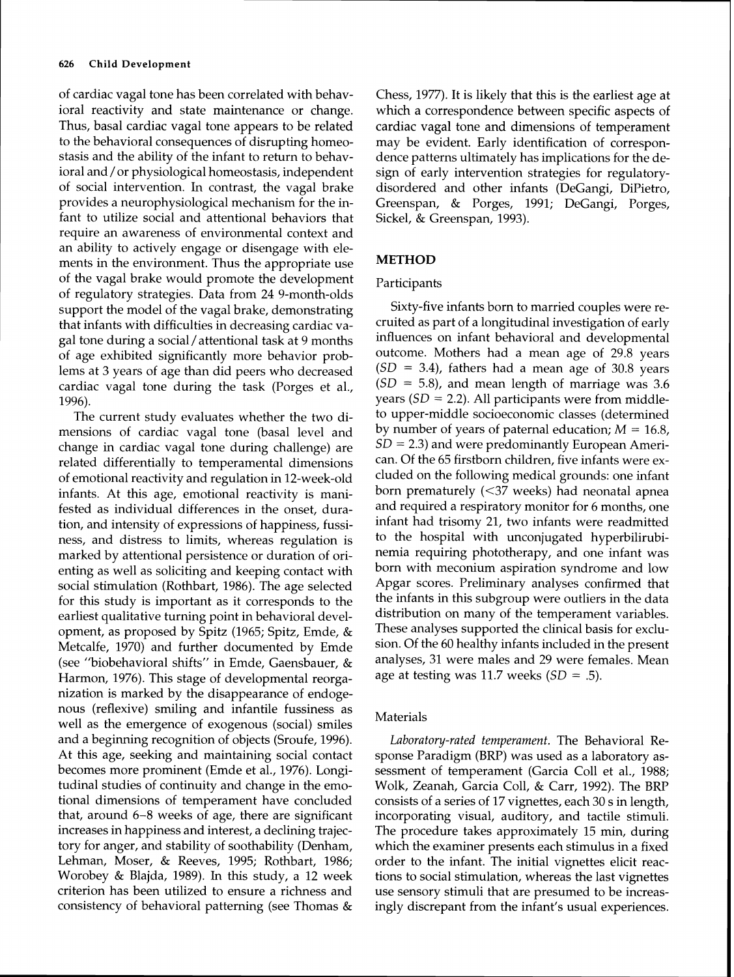of cardiac vagal tone has been correlated with behavioral reactivity and state maintenance or change. Thus, basal cardiac vagal tone appears to be related to the behavioral consequences of disrupting homeostasis and the ability of the infant to return to behavioral and/or physiological homeostasis, independent of social intervention. In contrast, the vagal brake provides a neurophysiological mechanism for the infant to utilize social and attentional behaviors that require an awareness of environmental context and an ability to actively engage or disengage with elements in the environment. Thus the appropriate use of the vagal brake would promote the development of regulatory strategies. Data from 24 9-month-olds support the model of the vagal brake, demonstrating that infants with difficulties in decreasing cardiac vagal tone during a social / attentional task at 9 months of age exhibited significantly more behavior problems at 3 years of age than did peers who decreased cardiac vagal tone during the task (Porges et al., 1996).

The current study evaluates whether the two dimensions of cardiac vagal tone (basal level and change in cardiac vagal tone during challenge) are related differentially to temperamental dimensions of emotional reactivity and regulation in 12-week-old infants. At this age, emotional reactivity is manifested as individual differences in the onset, duration, and intensity of expressions of happiness, fussiness, and distress to limits, whereas regulation is marked by attentional persistence or duration of orienting as well as soliciting and keeping contact with social stimulation (Rothbart, 1986). The age selected for this study is important as it corresponds to the earliest qualitative turning point in behavioral development, as proposed by Spitz (1965; Spitz, Emde, & Metcalfe, 1970) and further documented by Emde (see "biobehavioral shifts" in Emde, Gaensbauer, & Harmon, 1976). This stage of developmental reorganization is marked by the disappearance of endogenous (reflexive) smiling and infantile fussiness as well as the emergence of exogenous (social) smiles and a beginning recognition of objects (Sroufe, 1996). At this age, seeking and maintaining social contact becomes more prominent (Emde et al., 1976). Longitudinal studies of continuity and change in the emotional dimensions of temperament have concluded that, around 6-8 weeks of age, there are significant increases in happiness and interest, a declining trajectory for anger, and stability of soothability (Denham, Lehman, Moser, & Reeves, 1995; Rothbart, 1986; Worobey & Blajda, 1989). In this study, a 12 week criterion has been utilized to ensure a richness and consistency of behavioral patterning (see Thomas &

Chess, 1977). It is likely that this is the earliest age at which a correspondence between specific aspects of cardiac vagal tone and dimensions of temperament may be evident. Early identification of correspondence patterns ultimately has implications for the design of early intervention strategies for regulatorydisordered and other infants (DeGangi, DiPietro, Greenspan, & Porges, 1991; DeGangi, Porges, Sickel, & Greenspan, 1993).

## **METHOD**

#### Participants

Sixty-five infants born to married couples were recruited as part of a longitudinal investigation of early influences on infant behavioral and developmental outcome. Mothers had a mean age of 29.8 years  $(SD = 3.4)$ , fathers had a mean age of 30.8 years  $(SD = 5.8)$ , and mean length of marriage was 3.6 years ( $SD = 2.2$ ). All participants were from middleto upper-middle socioeconomic classes (determined by number of years of paternal education;  $M = 16.8$ ,  $SD = 2.3$ ) and were predominantly European American. Of the 65 firstborn children, five infants were excluded on the following medical grounds: one infant born prematurely (<37 weeks) had neonatal apnea and required a respiratory monitor for 6 months, one infant had trisomy 21, two infants were readmitted to the hospital with unconjugated hyperbilirubinemia requiring phototherapy, and one infant was born with meconium aspiration syndrome and low Apgar scores. Preliminary analyses confirmed that the infants in this subgroup were outliers in the data distribution on many of the temperament variables. These analyses supported the clinical basis for exclusion. Of the 60 healthy infants included in the present analyses, 31 were males and 29 were females. Mean age at testing was 11.7 weeks  $(SD = .5)$ .

## Materials

*Laboratory-rated temperament.* The Behavioral Response Paradigm (BRP) was used as a laboratory assessment of temperament (Garcia Coll et al., 1988; Wolk, Zeanah, Garcia Coll, & Carr, 1992). The BRP consists of a series of 17 vignettes, each 30 s in length, incorporating visual, auditory, and tactile stimuli. The procedure takes approximately 15 min, during which the examiner presents each stimulus in a fixed order to the infant. The initial vignettes elicit reactions to social stimulation, whereas the last vignettes use sensory stimuli that are presumed to be increasingly discrepant from the infant's usual experiences.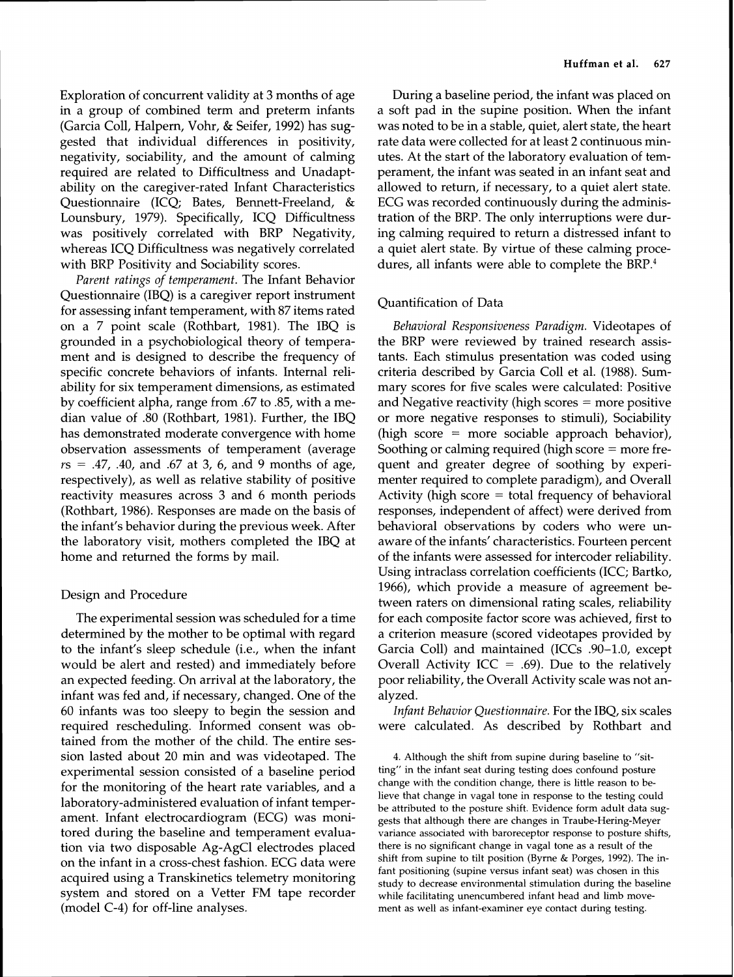Exploration of concurrent validity at **3** months of age in a group of combined term and preterm infants (Garcia Coll, Halpern, Vohr, & Seifer, 1992) has suggested that individual differences in positivity, negativity, sociability, and the amount of calming required are related to Difficultness and Unadaptability on the caregiver-rated Infant Characteristics Questionnaire (ICQ; Bates, Bennett-Freeland, & Lounsbury, 1979). Specifically, ICQ Difficultness was positively correlated with BRP Negativity, whereas ICQ Difficultness was negatively correlated with BRP Positivity and Sociability scores.

*Parent ratings of temperament.* The Infant Behavior Questionnaire (IBQ) is a caregiver report instrument for assessing infant temperament, with 87 items rated on a 7 point scale (Rothbart, 1981). The IBQ is grounded in a psychobiological theory of temperament and is designed to describe the frequency of specific concrete behaviors of infants. Internal reliability for six temperament dimensions, as estimated by coefficient alpha, range from .67 to .85, with a median value of .80 (Rothbart, 1981). Further, the IBQ has demonstrated moderate convergence with home observation assessments of temperament (average  $rs = .47, .40, and .67 at 3, 6, and 9 months of age,$ respectively), as well as relative stability of positive reactivity measures across **3** and 6 month periods (Rothbart, 1986). Responses are made on the basis of the infant's behavior during the previous week. After the laboratory visit, mothers completed the IBQ at home and returned the forms by mail.

#### Design and Procedure

The experimental session was scheduled for a time determined by the mother to be optimal with regard to the infant's sleep schedule (i.e., when the infant would be alert and rested) and immediately before an expected feeding. On arrival at the laboratory, the infant was fed and, if necessary, changed. One of the 60 infants was too sleepy to begin the session and required rescheduling. Informed consent was obtained from the mother of the child. The entire session lasted about 20 min and was videotaped. The experimental session consisted of a baseline period for the monitoring of the heart rate variables, and a laboratory-administered evaluation of infant temperament. Infant electrocardiogram (ECG) was monitored during the baseline and temperament evaluation via two disposable Ag-AgC1 electrodes placed on the infant in a cross-chest fashion. ECG data were acquired using a Transkinetics telemetry monitoring system and stored on a Vetter FM tape recorder (model C-4) for off-line analyses.

During a baseline period, the infant was placed on a soft pad in the supine position. When the infant was noted to be in a stable, quiet, alert state, the heart rate data were collected for at least 2 continuous minutes. At the start of the laboratory evaluation of temperament, the infant was seated in an infant seat and allowed to return, if necessary, to a quiet alert state. ECG was recorded continuously during the administration of the BRP. The only interruptions were during calming required to return a distressed infant to a quiet alert state. By virtue of these calming procedures, all infants were able to complete the BRP.<sup>4</sup>

## Quantification of Data

*Behavioral Responsiveness Paradigm.* Videotapes of the BRP were reviewed by trained research assistants. Each stimulus presentation was coded using criteria described by Garcia Coll et al. (1988). Summary scores for five scales were calculated: Positive and Negative reactivity (high scores  $=$  more positive or more negative responses to stimuli), Sociability (high score = more sociable approach behavior), Soothing or calming required (high score  $=$  more frequent and greater degree of soothing by experimenter required to complete paradigm), and Overall Activity (high score = total frequency of behavioral responses, independent of affect) were derived from behavioral observations by coders who were unaware of the infants' characteristics. Fourteen percent of the infants were assessed for intercoder reliability. Using intraclass correlation coefficients (ICC; Bartko, 1966), which provide a measure of agreement between raters on dimensional rating scales, reliability for each composite factor score was achieved, first to a criterion measure (scored videotapes provided by Garcia Coll) and maintained (ICCs .90-1.0, except Overall Activity ICC = .69). Due to the relatively poor reliability, the Overall Activity scale was not analyzed.

*Infant Behavior Questionnaire*. For the IBQ, six scales were calculated. As described by Rothbart and

4. Although the shift from supine during baseline to "sitting" in the infant seat during testing does confound posture change with the condition change, there is little reason to believe that change in vagal tone in response to the testing could be attributed to the posture shift. Evidence form adult data suggests that although there are changes in Traube-Hering-Meyer variance associated with baroreceptor response to posture shifts, there is no significant change in vagal tone as a result of the shift from supine to tilt position (Byme & Porges, 1992). The infant positioning (supine versus infant seat) was chosen in this study to decrease environmental stimulation during the baseline while facilitating unencumbered infant head and limb movement as well as infant-examiner eye contact during testing.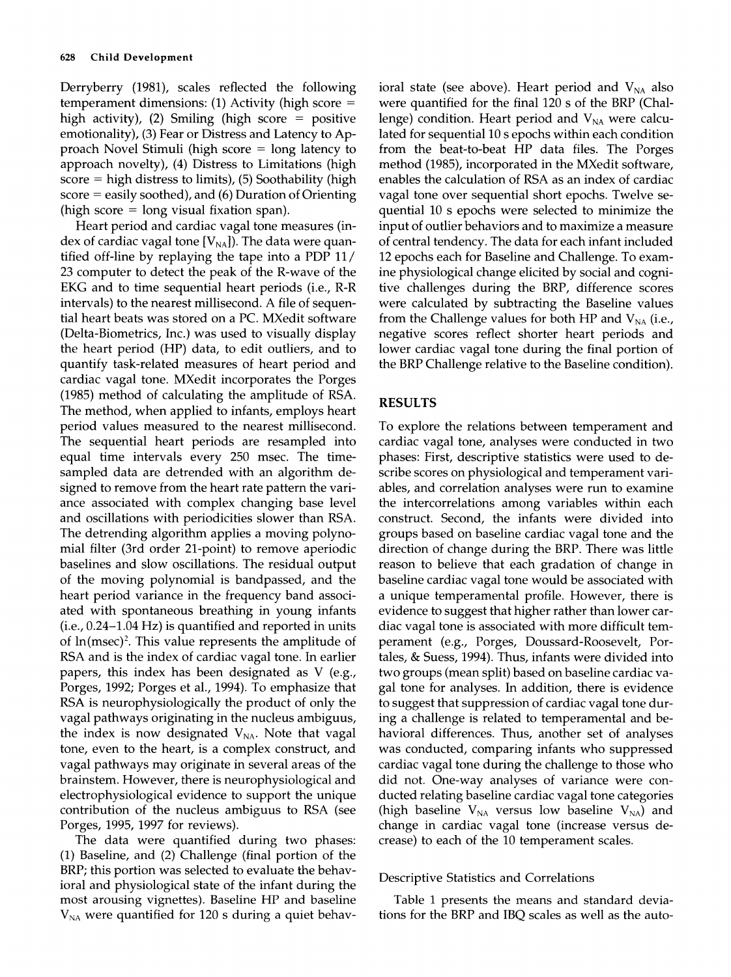Derryberry (1981), scales reflected the following temperament dimensions: (1) Activity (high score  $=$ high activity), (2) Smiling (high score  $=$  positive emotionality), (3) Fear or Distress and Latency to Approach Novel Stimuli (high score = long latency to approach novelty), (4) Distress to Limitations (high  $score = high \, \text{distress} \, \text{to} \, \text{limits}$ ), (5) Soothability (high  $score = easily$  soothed), and (6) Duration of Orienting (high score  $=$  long visual fixation span).

Heart period and cardiac vagal tone measures (index of cardiac vagal tone  $[V_{NA}]$ ). The data were quantified off-line by replaying the tape into a PDP 11/ 23 computer to detect the peak of the R-wave of the EKG and to time sequential heart periods (i.e., R-R intervals) to the nearest millisecond. A file of sequential heart beats was stored on a PC. MXedit software (Delta-Biometrics, Inc.) was used to visually display the heart period (HP) data, to edit outliers, and to quantify task-related measures of heart period and cardiac vagal tone. MXedit incorporates the Porges (1985) method of calculating the amplitude of RSA. The method, when applied to infants, employs heart period values measured to the nearest millisecond. The sequential heart periods are resampled into equal time intervals every 250 msec. The timesampled data are detrended with an algorithm designed to remove from the heart rate pattern the variance associated with complex changing base level and oscillations with periodicities slower than RSA. The detrending algorithm applies a moving polynomial filter (3rd order 21-point) to remove aperiodic baselines and slow oscillations. The residual output of the moving polynomial is bandpassed, and the heart period variance in the frequency band associated with spontaneous breathing in young infants (i.e., 0.24-1.04 Hz) is quantified and reported in units of ln(msec)?. This value represents the amplitude of RSA and is the index of cardiac vagal tone. In earlier papers, this index has been designated as V (e.g., Porges, 1992; Porges et al., 1994). To emphasize that RSA is neurophysiologically the product of only the vagal pathways originating in the nucleus ambiguus, the index is now designated  $V_{NA}$ . Note that vagal tone, even to the heart, is a complex construct, and vagal pathways may originate in several areas of the brainstem. However, there is neurophysiological and electrophysiological evidence to support the unique contribution of the nucleus ambiguus to RSA (see Porges, 1995, 1997 for reviews).

The data were quantified during two phases: (1) Baseline, and (2) Challenge (final portion of the BRP; this portion was selected to evaluate the behavioral and physiological state of the infant during the most arousing vignettes). Baseline HP and baseline  $V_{NA}$  were quantified for 120 s during a quiet behavioral state (see above). Heart period and  $V_{NA}$  also were quantified for the final 120 s of the BRP (Challenge) condition. Heart period and  $V_{NA}$  were calculated for sequential 10 s epochs within each condition from the beat-to-beat HP data files. The Porges method (1985), incorporated in the MXedit software, enables the calculation of RSA as an index of cardiac vagal tone over sequential short epochs. Twelve sequential 10 s epochs were selected to minimize the input of outlier behaviors and to maximize a measure of central tendency. The data for each infant included 12 epochs each for Baseline and Challenge. To examine physiological change elicited by social and cognitive challenges during the BRP, difference scores were calculated by subtracting the Baseline values from the Challenge values for both HP and  $V_{NA}$  (i.e., negative scores reflect shorter heart periods and lower cardiac vagal tone during the final portion of the BRP Challenge relative to the Baseline condition).

## **RESULTS**

To explore the relations between temperament and cardiac vagal tone, analyses were conducted in two phases: First, descriptive statistics were used to describe scores on physiological and temperament variables, and correlation analyses were run to examine the intercorrelations among variables within each construct. Second, the infants were divided into groups based on baseline cardiac vagal tone and the direction of change during the BRP. There was little reason to believe that each gradation of change in baseline cardiac vagal tone would be associated with a unique temperamental profile. However, there is evidence to suggest that higher rather than lower cardiac vagal tone is associated with more difficult temperament (e.g., Porges, Doussard-Roosevelt, Portales, & Suess, 1994). Thus, infants were divided into two groups (mean split) based on baseline cardiac vagal tone for analyses. In addition, there is evidence to suggest that suppression of cardiac vagal tone during a challenge is related to temperamental and behavioral differences. Thus, another set of analyses was conducted, comparing infants who suppressed cardiac vagal tone during the challenge to those who did not. One-way analyses of variance were conducted relating baseline cardiac vagal tone categories (high baseline  $V_{NA}$  versus low baseline  $V_{NA}$ ) and change in cardiac vagal tone (increase versus decrease) to each of the 10 temperament scales.

## Descriptive Statistics and Correlations

Table 1 presents the means and standard deviations for the BRP and IBQ scales as well as the auto-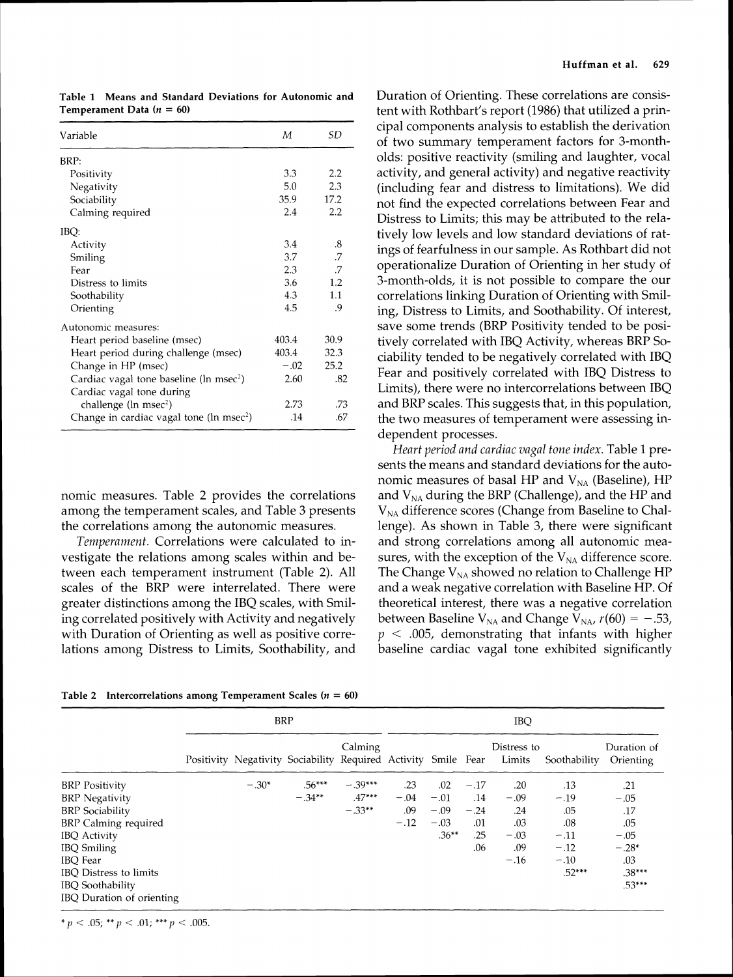| Variable                                             | М      | <b>SD</b> |
|------------------------------------------------------|--------|-----------|
| BRP:                                                 |        |           |
| Positivity                                           | 3.3    | 2.2       |
| Negativity                                           | 5.0    | 2.3       |
| Sociability                                          | 35.9   | 17.2      |
| Calming required                                     | 2.4    | 2.2       |
| IBQ:                                                 |        |           |
| Activity                                             | 3.4    | .8        |
| Smiling                                              | 3.7    | .7        |
| Fear                                                 | 2.3    | .7        |
| Distress to limits                                   | 3.6    | 1.2       |
| Soothability                                         | 4.3    | 1.1       |
| Orienting                                            | 4.5    | .9        |
| Autonomic measures:                                  |        |           |
| Heart period baseline (msec)                         | 403.4  | 30.9      |
| Heart period during challenge (msec)                 | 403.4  | 32.3      |
| Change in HP (msec)                                  | $-.02$ | 25.2      |
| Cardiac vagal tone baseline (ln msec <sup>2</sup> )  | 2.60   | .82       |
| Cardiac vagal tone during                            |        |           |
| challenge (ln msec <sup>2</sup> )                    | 2.73   | .73       |
| Change in cardiac vagal tone (ln msec <sup>2</sup> ) | .14    | .67       |

**Table 1 Means and Standard Deviations for Autonomic and Temperament Data** *(n* = **60)** 

nomic measures. Table 2 provides the correlations among the temperament scales, and Table **3** presents the correlations among the autonomic measures.

Temperament. Correlations were calculated to investigate the relations among scales within and between each temperament instrument (Table 2). All scales of the BRP were interrelated. There were greater distinctions among the IBQ scales, with Smiling correlated positively with Activity and negatively with Duration of Orienting as well as positive correlations among Distress to Limits, Soothability, and Duration of Orienting. These correlations are consistent with Rothbart's report (1986) that utilized a principal components analysis to establish the derivation of two summary temperament factors for 3-montholds: positive reactivity (smiling and laughter, vocal activity, and general activity) and negative reactivity (including fear and distress to limitations). We did not find the expected correlations between Fear and Distress to Limits; this may be attributed to the relatively low levels and low standard deviations of ratings of fearfulness in our sample. As Rothbart did not operationalize Duration of Orienting in her study of 3-month-olds, it is not possible to compare the our correlations linking Duration of Orienting with Smiling, Distress to Limits, and Soothability. Of interest, save some trends (BRP Positivity tended to be positively correlated with IBQ Activity, whereas BRP Sociability tended to be negatively correlated with IBQ Fear and positively correlated with IBQ Distress to Limits), there were no intercorrelations between IBQ and BRP scales. This suggests that, in this population, the two measures of temperament were assessing independent processes.

Heart period and cardiac vagal tone index. Table 1 presents the means and standard deviations for the autonomic measures of basal HP and  $V_{NA}$  (Baseline), HP and  $V_{NA}$  during the BRP (Challenge), and the HP and V,, difference scores (Change from Baseline to Challenge). As shown in Table **3,** there were significant and strong correlations among all autonomic measures, with the exception of the  $V_{NA}$  difference score. The Change  $V_{NA}$  showed no relation to Challenge HP and a weak negative correlation with Baseline HP. Of theoretical interest, there was a negative correlation between Baseline V<sub>NA</sub> and Change V<sub>NA</sub>,  $r(60) = -.53$ ,  $p < .005$ , demonstrating that infants with higher baseline cardiac vagal tone exhibited significantly

|  | Table 2 Intercorrelations among Temperament Scales ( $n = 60$ ) |  |  |  |  |
|--|-----------------------------------------------------------------|--|--|--|--|
|--|-----------------------------------------------------------------|--|--|--|--|

|                               | <b>BRP</b> |                                                                |          | IBQ       |        |         |        |                       |              |                          |
|-------------------------------|------------|----------------------------------------------------------------|----------|-----------|--------|---------|--------|-----------------------|--------------|--------------------------|
|                               |            | Positivity Negativity Sociability Required Activity Smile Fear |          | Calming   |        |         |        | Distress to<br>Limits | Soothability | Duration of<br>Orienting |
| <b>BRP</b> Positivity         |            | $-.30*$                                                        | $.56***$ | $-.39***$ | .23    | .02     | $-.17$ | .20                   | $\cdot$ 13   | .21                      |
| <b>BRP</b> Negativity         |            |                                                                | $-.34**$ | $.47***$  | $-.04$ | $-.01$  | .14    | $-.09$                | $-.19$       | $-.05$                   |
| <b>BRP</b> Sociability        |            |                                                                |          | $-.33**$  | .09    | $-.09$  | $-.24$ | .24                   | .05          | .17                      |
| BRP Calming required          |            |                                                                |          |           | $-.12$ | $-.03$  | .01    | .03                   | .08          | .05                      |
| <b>IBQ</b> Activity           |            |                                                                |          |           |        | $.36**$ | .25    | $-.03$                | $-.11$       | $-.05$                   |
| <b>IBQ</b> Smiling            |            |                                                                |          |           |        |         | .06    | .09                   | $-.12$       | $-.28*$                  |
| IBO Fear                      |            |                                                                |          |           |        |         |        | $-.16$                | $-.10$       | .03                      |
| <b>IBO</b> Distress to limits |            |                                                                |          |           |        |         |        |                       | $.52***$     | $.38***$                 |
| <b>IBQ</b> Soothability       |            |                                                                |          |           |        |         |        |                       |              | $.53***$                 |
| IBQ Duration of orienting     |            |                                                                |          |           |        |         |        |                       |              |                          |

 $\binom{*}{p}$  < .05; \*\*  $p$  < .01; \*\*\*  $p$  < .005.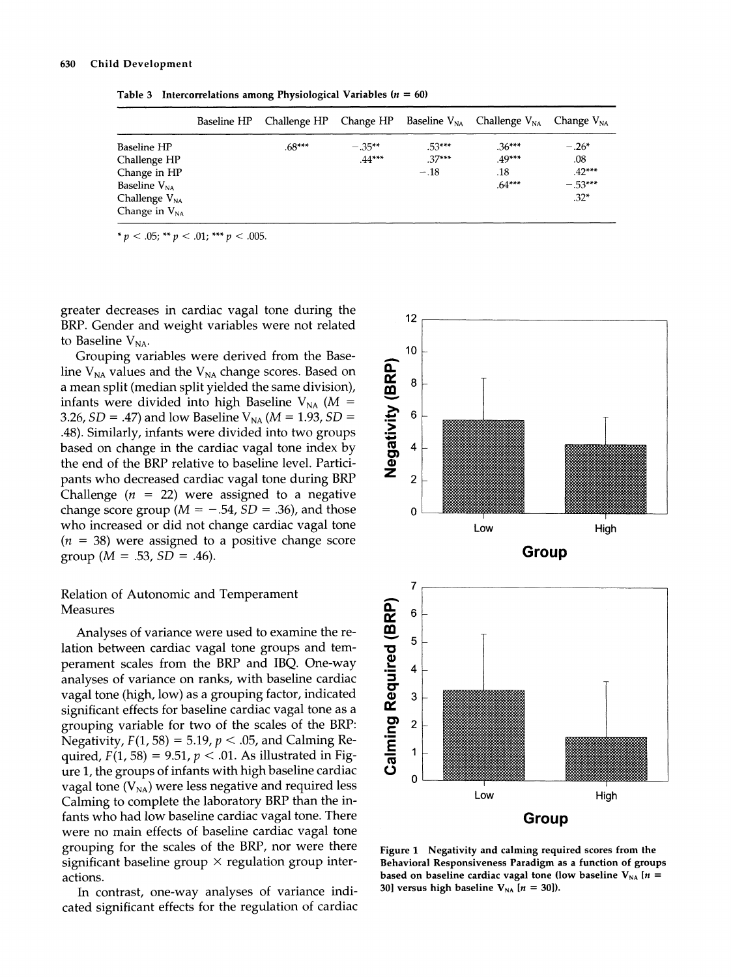Table 3 Intercorrelations among Physiological Variables  $(n = 60)$ 

|                                          | <b>Baseline HP</b> | Challenge HP | Change HP |          | Baseline $V_{NA}$ Challenge $V_{NA}$ | Change $V_{NA}$ |
|------------------------------------------|--------------------|--------------|-----------|----------|--------------------------------------|-----------------|
| Baseline HP                              |                    | $.68***$     | $-.35**$  | $.53***$ | $.36***$                             | $-.26*$         |
| Challenge HP                             |                    |              | $.44***$  | $.37***$ | $.49***$                             | .08             |
| Change in HP                             |                    |              |           | $-.18$   | .18                                  | $.42***$        |
| Baseline $V_{NA}$                        |                    |              |           |          | $.64***$                             | $-.53***$       |
| Challenge $V_{NA}$<br>Change in $V_{NA}$ |                    |              |           |          |                                      | $.32*$          |

\*  $p < .05$ ; \*\*  $p < .01$ ; \*\*\*  $p < .005$ .

greater decreases in cardiac vagal tone during the BRP. Gender and weight variables were not related to Baseline  $V_{NA}$ .

Grouping variables were derived from the Baseline  $V_{NA}$  values and the  $V_{NA}$  change scores. Based on a mean split (median split yielded the same division), infants were divided into high Baseline  $V_{NA}$  ( $M =$ 3.26, *SD* = .47) and low Baseline  $V_{NA}$  (*M* = 1.93, *SD* = .48). Similarly, infants were divided into two groups based on change in the cardiac vagal tone index by the end of the BRP relative to baseline level. Participants who decreased cardiac vagal tone during BRP Challenge  $(n = 22)$  were assigned to a negative change score group ( $M = -.54$ ,  $SD = .36$ ), and those who increased or did not change cardiac vagal tone  $(n = 38)$  were assigned to a positive change score group ( $M = .53$ ,  $SD = .46$ ).

## Relation of Autonomic and Temperament Measures

Analyses of variance were used to examine the relation between cardiac vagal tone groups and temperament scales from the BRP and IBQ. One-way analyses of variance on ranks, with baseline cardiac vagal tone (high, low) as a grouping factor, indicated significant effects for baseline cardiac vagal tone as a grouping variable for two of the scales of the BRP: Negativity, F(1, 58) = 5.19, *p* < .05, and Calming Required,  $F(1, 58) = 9.51$ ,  $p < .01$ . As illustrated in Figure 1, the groups of infants with high baseline cardiac vagal tone  $(V_{NA})$  were less negative and required less Calming to complete the laboratory BRP than the infants who had low baseline cardiac vagal tone. There were no main effects of baseline cardiac vagal tone grouping for the scales of the BRP, nor were there significant baseline group  $\times$  regulation group interactions.

In contrast, one-way analyses of variance indicated significant effects for the regulation of cardiac



**Figure 1 Negativity and calming required scores from the Behavioral Responsiveness Paradigm as a function of groups**  based on baseline cardiac vagal tone (low baseline  $V_{NA}$  [ $n =$ **30] versus high baseline**  $V_{NA}$  **[** $n = 30$ **]).**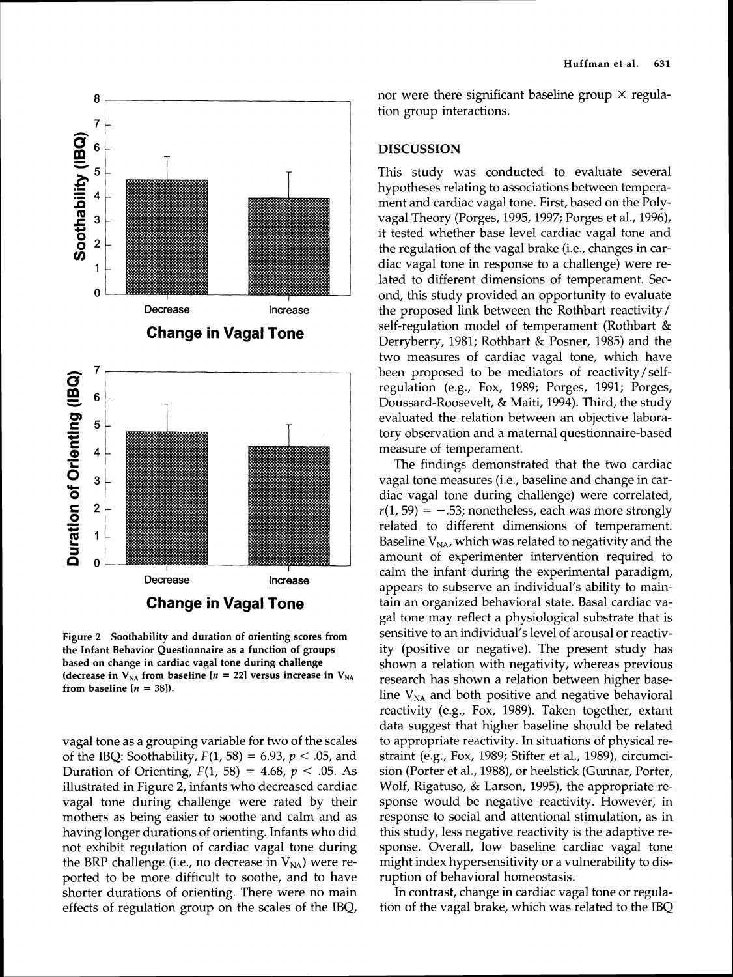

**Figure 2 Soothability and duration of orienting scores from the Infant Behavior Questionnaire as a function of groups based on change in cardiac vagal tone during challenge**  (decrease in  $V_{NA}$  from baseline  $[n = 22]$  versus increase in  $V_{NA}$ from baseline  $[n = 38]$ ).

vagal tone as a grouping variable for two of the scales of the IBQ: Soothability,  $F(1, 58) = 6.93$ ,  $p < .05$ , and Duration of Orienting,  $F(1, 58) = 4.68$ ,  $p < .05$ . As illustrated in Figure 2, infants who decreased cardiac vagal tone during challenge were rated by their mothers as being easier to soothe and calm and as having longer durations of orienting. Infants who did not exhibit regulation of cardiac vagal tone during the BRP challenge (i.e., no decrease in  $V_{NA}$ ) were reported to be more difficult to soothe, and to have shorter durations of orienting. There were no main effects of regulation group on the scales of the IBQ,

nor were there significant baseline group  $\times$  regulation group interactions.

## **DISCUSSION**

This study was conducted to evaluate several hypotheses relating to associations between temperament and cardiac vagal tone. First, based on the Polyvagal Theory (Porges, 1995,1997; Porges et al., 1996), it tested whether base level cardiac vagal tone and the regulation of the vagal brake (i.e., changes in cardiac vagal tone in response to a challenge) were related to different dimensions of temperament. Second, this study provided an opportunity to evaluate the proposed link between the Rothbart reactivity/ self-regulation model of temperament (Rothbart & Derryberry, 1981; Rothbart & Posner, 1985) and the two measures of cardiac vagal tone, which have been proposed to be mediators of reactivity/selfregulation (e.g., Fox, 1989; Porges, 1991; Porges, Doussard-Roosevelt, & Maiti, 1994). Third, the study evaluated the relation between an objective laboratory observation and a maternal questionnaire-based measure of temperament.

The findings demonstrated that the two cardiac vagal tone measures (i.e., baseline and change in cardiac vagal tone during challenge) were correlated,  $r(1,59) = -.53$ ; nonetheless, each was more strongly related to different dimensions of temperament. Baseline  $V_{NA}$ , which was related to negativity and the amount of experimenter intervention required to calm the infant during the experimental paradigm, appears to subserve an individual's ability to maintain an organized behavioral state. Basal cardiac vagal tone may reflect a physiological substrate that is sensitive to an individual's level of arousal or reactivity (positive or negative). The present study has shown a relation with negativity, whereas previous research has shown a relation between higher baseline  $V_{NA}$  and both positive and negative behavioral reactivity (e.g., Fox, 1989). Taken together, extant data suggest that higher baseline should be related to appropriate reactivity. In situations of physical restraint (e.g., Fox, 1989; Stifter et al., 1989), circumcision (Porter et al., 1988), or heelstick (Gunnar, Porter, Wolf, Rigatuso, & Larson, 1995), the appropriate response would be negative reactivity. However, in response to social and attentional stimulation, as in this study, less negative reactivity is the adaptive response. Overall, low baseline cardiac vagal tone might index hypersensitivity or a vulnerability to disruption of behavioral homeostasis.

In contrast, change in cardiac vagal tone or regulation of the vagal brake, which was related to the IBQ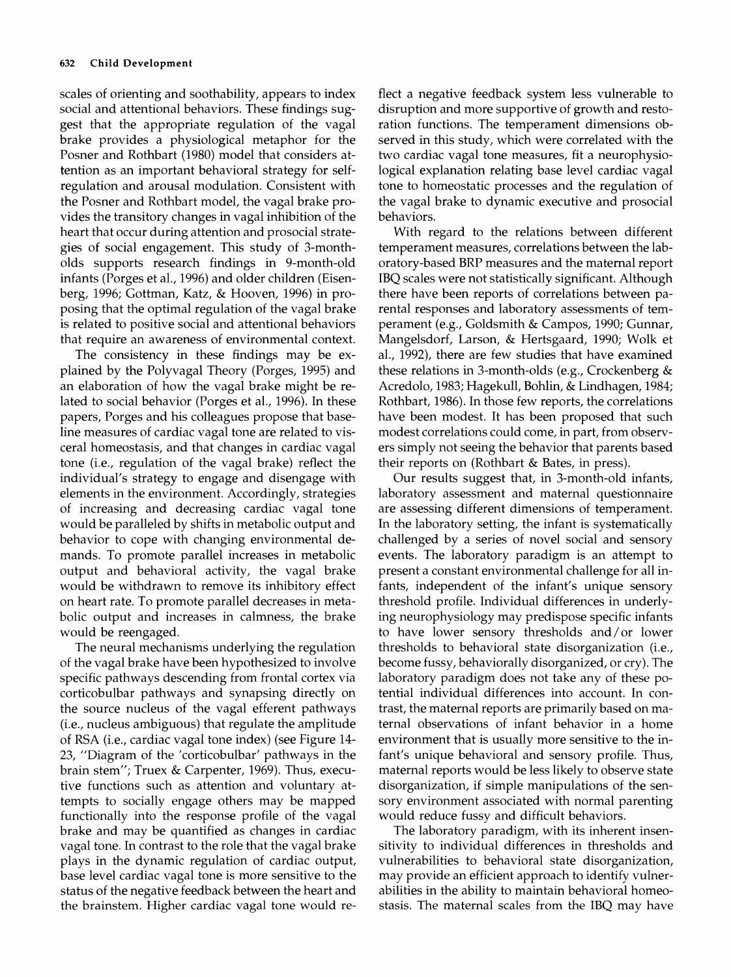scales of orienting and soothability, appears to index social and attentional behaviors. These findings suggest that the appropriate regulation of the vagal brake provides a physiological metaphor for the Posner and Rothbart (1980) model that considers attention as an important behavioral strategy for selfregulation and arousal modulation. Consistent with the Posner and Rothbart model, the vagal brake provides the transitory changes in vagal inhibition of the heart that occur during attention and prosocial strategies of social engagement. This study of 3-montholds supports research findings in 9-month-old infants (Porges et al., 1996) and older children (Eisenberg, 1996; Gottman, Katz, & Hooven, 1996) in proposing that the optimal regulation of the vagal brake is related to positive social and attentional behaviors that require an awareness of environmental context.

The consistency in these findings may be explained by the Polyvagal Theory (Porges, 1995) and an elaboration of how the vagal brake might be related to social behavior (Porges et al., 1996). In these papers, Porges and his colleagues propose that baseline measures of cardiac vagal tone are related to visceral homeostasis, and that changes in cardiac vagal tone (i.e., regulation of the vagal brake) reflect the individual's strategy to engage and disengage with elements in the environment. Accordingly, strategies of increasing and decreasing cardiac vagal tone would be paralleled by shifts in metabolic output and behavior to cope with changing environmental demands. To promote parallel increases in metabolic output and behavioral activity, the vagal brake would be withdrawn to remove its inhibitory effect on heart rate. To promote parallel decreases in metabolic output and increases in calmness, the brake would be reengaged.

The neural mechanisms underlying the regulation of the vagal brake have been hypothesized to involve specific pathways descending from frontal cortex via corticobulbar pathways and synapsing directly on the source nucleus of the vagal efferent pathways (i.e., nucleus ambiguous) that regulate the amplitude of RSA (i.e., cardiac vagal tone index) (see Figure 14- 23, "Diagram of the 'corticobulbar' pathways in the brain stem"; Truex & Carpenter, 1969). Thus, executive functions such as attention and voluntary attempts to socially engage others may be mapped functionally into the response profile of the vagal brake and may be quantified as changes in cardiac vagal tone. In contrast to the role that the vagal brake plays in the dynamic regulation of cardiac output, base level cardiac vagal tone is more sensitive to the status of the negative feedback between the heart and the brainstem. Higher cardiac vagal tone would reflect a negative feedback system less vulnerable to disruption and more supportive of growth and restoration functions. The temperament dimensions observed in this study, which were correlated with the two cardiac vagal tone measures, fit a neurophysiological explanation relating base level cardiac vagal tone to homeostatic processes and the regulation of the vagal brake to dynamic executive and prosocial behaviors.

With regard to the relations between different temperament measures, correlations between the laboratory-based BRP measures and the maternal report IBQ scales were not statistically significant. Although there have been reports of correlations between parental responses and laboratory assessments of temperament (e.g., Goldsmith & Campos, 1990; Gunnar, Mangelsdorf, Larson, & Hertsgaard, 1990; Wolk et al., 1992), there are few studies that have examined these relations in 3-month-olds (e.g., Crockenberg & Acredolo, 1983; Hagekull, Bohlin, & Lindhagen, 1984; Rothbart, 1986). In those few reports, the correlations have been modest. It has been proposed that such modest correlations could come, in part, from observers simply not seeing the behavior that parents based their reports on (Rothbart & Bates, in press).

Our results suggest that, in 3-month-old infants, laboratory assessment and maternal questionnaire are assessing different dimensions of temperament. In the laboratory setting, the infant is systematically challenged by a series of novel social and sensory events. The laboratory paradigm is an attempt to present a constant environmental challenge for all infants, independent of the infant's unique sensory threshold profile. Individual differences in underlying neurophysiology may predispose specific infants to have lower sensory thresholds and/or lower thresholds to behavioral state disorganization (i.e., become fussy, behaviorally disorganized, or cry). The laboratory paradigm does not take any of these potential individual differences into account. In contrast, the maternal reports are primarily based on maternal observations of infant behavior in a home environment that is usually more sensitive to the infant's unique behavioral and sensory profile. Thus, maternal reports would be less likely to observe state disorganization, if simple manipulations of the sensory environment associated with normal parenting would reduce fussy and difficult behaviors.

The laboratory paradigm, with its inherent insensitivity to individual differences in thresholds and vulnerabilities to behavioral state disorganization, may provide an efficient approach to identify vulnerabilities in the ability to maintain behavioral homeostasis. The maternal scales from the IBQ may have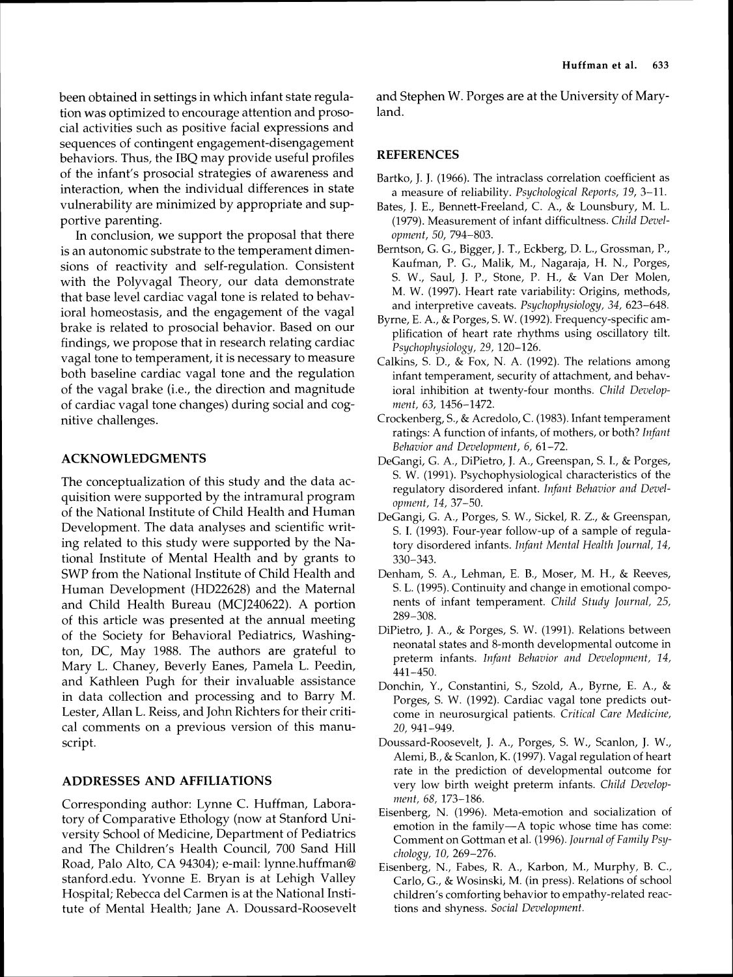been obtained in settings in which infant state regulation was optimized to encourage attention and prosocia1 activities such as positive facial expressions and sequences of contingent engagement-disengagement behaviors. Thus, the IBQ may provide useful profiles of the infant's prosocial strategies of awareness and interaction, when the individual differences in state vulnerability are minimized by appropriate and supportive parenting.

In conclusion, we support the proposal that there is an autonomic substrate to the temperament dimensions of reactivity and self-regulation. Consistent with the Polyvagal Theory, our data demonstrate that base level cardiac vagal tone is related to behavioral homeostasis, and the engagement of the vagal brake is related to prosocial behavior. Based on our findings, we propose that in research relating cardiac vagal tone to temperament, it is necessary to measure both baseline cardiac vagal tone and the regulation of the vagal brake (i.e., the direction and magnitude of cardiac vagal tone changes) during social and cognitive challenges.

## **ACKNOWLEDGMENTS**

The conceptualization of this study and the data acquisition were supported by the intramural program of the National Institute of Child Health and Human Development. The data analyses and scientific writing related to this study were supported by the National Institute of Mental Health and by grants to SWP from the National Institute of Child Health and Human Development (HD22628) and the Maternal and Child Health Bureau (MCJ240622). A portion of this article was presented at the annual meeting of the Society for Behavioral Pediatrics, Washington, DC, May 1988. The authors are grateful to Mary L. Chaney, Beverly Eanes, Pamela L. Peedin, and Kathleen Pugh for their invaluable assistance in data collection and processing and to Barry M. Lester, Allan L. Reiss, and John Richters for their critical comments on a previous version of this manuscript.

## **ADDRESSES AND AFFILIATIONS**

Corresponding author: Lynne C. Huffman, Laboratory of Comparative Ethology (now at Stanford University School of Medicine, Department of Pediatrics and The Children's Health Council, 700 Sand Hill Road, Palo Alto, CA 94304); e-mail: lynne.huffman@ stanford.edu. Yvonne E. Bryan is at Lehigh Valley Hospital; Rebecca del Carmen is at the National Institute of Mental Health; Jane A. Doussard-Roosevelt and Stephen W. Porges are at the University of Maryland.

## **REFERENCES**

- Bartko, J. J. (1966). The intraclass correlation coefficient as a measure of reliability. *Psycllological Reports,* 19, 3-11.
- Bates, J. E., Bennett-Freeland, C. A., & Lounsbury, M. L. (1979). Measurement of infant difficultness. *Child Dez)elopnent, 50,* 794-803.
- Berntson, G. G., Bigger, J. T., Eckberg, D. L., Grossman, P., Kaufman, P. G., Malik, M., Nagaraja, H. N., Porges, S. W., Saul, J. P., Stone, P. H., & Van Der Molen, M. W. (1997). Heart rate variability: Origins, methods, and interpretive caveats. *Psychophysiology*, 34, 623-648.
- Byrne, E. A., & Porges, S. W. (1992). Frequency-specific amplification of heart rate rhythms using oscillatory tilt. *Psychopl~ysiology,*29, 120-126.
- Calkins, S. D., & Fox, N. A. (1992). The relations among infant temperament, security of attachment, and behavioral inhibition at twenty-four months. Child Develop*rilent, 63,* 1456-1472.
- Crockenberg, S., & Acredolo, C. (1983). Infant temperament ratings: A function of infants, of mothers, or both? *lrlfnnt Behnoior and Desleloprnent, 6,* 61-72.
- DeGangi, G. A,, DiPietro, J. A,, Greenspan, S. I., & Porges, S. W. (1991). Psychophysiological characteristics of the regulatory disordered infant. *Infant Behavior and Developnzerlt,* 14, 37-50.
- DeGangi, G. A,, Porges, S. W., Sickel, R. Z., & Greenspan, S. I. (1993). Four-year follow-up of a sample of regulatory disordered infants. *lrlfniit Mental Health Journal, 14,*  330-343.
- Denham, S. A,, Lehman, E. B., Moser, M. H., & Reeves, S. L. (1995). Continuity and change in emotional components of infant temperament. *Child Study Jonrnal, 25,*  289-308.
- DiPietro, J. A., & Porges, S. W. (1991). Relations between neonatal states and 8-month developmental outcome in preterm infants. *Infant Behavior and Development*, 14, 431-450.
- Donchin, Y., Constantini, S., Szold, A,, Byrne, E. A,, & Porges, S. W. (1992). Cardiac vagal tone predicts outcome in neurosurgical patients. *Critical Care Medicine,*  20, 941-949.
- Doussard-Roosevelt, J. A., Porges, S. W., Scanlon, J. W., Alemi, B., & Scanlon, K. (1997). Vagal regulation of heart rate in the prediction of developmental outcome for very low birth weight preterm infants. *Child Dezlelopnlcnt, 68,* 173-186.
- Eisenberg, N. (1996). Meta-emotion and socialization of emotion in the family-A topic whose time has come: Comment on Gottman et al. (1996). *Journal of Family Psychology, 10,* 269-276.
- Eisenberg, N., Fabes, R. A,, Karbon, M., Murphy, B. C., Carlo, G., & Wosinski, M. (in press). Relations of school children's comforting behavior to empathy-related reactions and shyness. *Social Development*.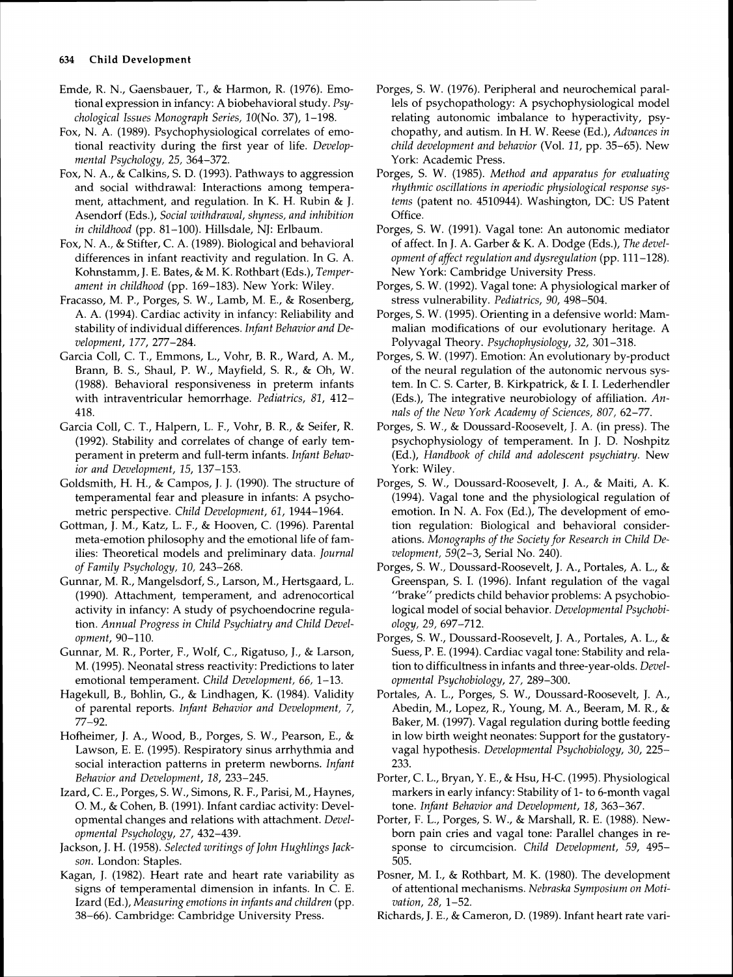- Emde, R. N., Gaensbauer, T., & Harmon, R. (1976). Emotional expression in infancy: A biobehavioral study. *Psychological lssues Monograph Series,* 10(No. 37), 1-198.
- Fox, N. A. (1989). Psychophysiological correlates of emotional reactivity during the first year of life. *Developmental Psychology,* 25, 364-372.
- Fox, N. A., & Calkins, S. D. (1993). Pathways to aggression and social withdrawal: Interactions among temperament, attachment, and regulation. In K. H. Rubin & J. Asendorf (Eds.), *Social withdrazual, shyness, and inhibition in childhood* (pp. 81-100). Hillsdale, NJ: Erlbaum.
- Fox, N. A,, & Stifter, C. A. (1989). Biological and behavioral differences in infant reactivity and regulation. In G. A. Kohnstamm, J. E. Bates, & M. K. Rothbart (Eds.), *Temperament in childhood* (pp. 169-183). New York: Wiley.
- Fracasso, M. P., Porges, S. W., Lamb, M. E., & Rosenberg, A. A. (1994). Cardiac activity in infancy: Reliability and stability of individual differences. Infant Behavior and De*velopment, 177,* 277-284.
- Garcia Coll, C. T., Emmons, L., Vohr, B. R., Ward, A. M., Brann, B. S., Shaul, P. W., Mayfield, S. R., & Oh, W. (1988). Behavioral responsiveness in preterm infants with intraventricular hemorrhage. *Pediatrics, 81,* 412- 418.
- Garcia Coll, C. T., Halpern, L. F., Vohr, B. R., & Seifer, R. (1992). Stability and correlates of change of early temperament in preterm and full-term infants. *lnfant Behavior and Development, 15,* 137-153.
- Goldsmith, *H.* H., & Campos, J. J. (1990). The structure of temperamental fear and pleasure in infants: A psychometric perspective. *Child Development, 61,* 1944-1964.
- Gottman, J. M., Katz, L. F., & Hooven, C. (1996). Parental meta-emotion philosophy and the emotional life of families: Theoretical models and preliminary data. *Journal of Family Psychology, 10,* 243-268.
- Gunnar, M. R., Mangelsdorf, S., Larson, M., Hertsgaard, L. (1990). Attachment, temperament, and adrenocortical activity in infancy: A study of psychoendocrine regulation. *Annual Progress in Child Psychiatry and Child Development,* 90-110.
- Gunnar, M. R., Porter, F., Wolf, C., Rigatuso, J., & Larson, M. (1995). Neonatal stress reactivity: Predictions to later emotional temperament. *Child Development, 66,* 1-13.
- Hagekull, B., Bohlin, G., & Lindhagen, K. (1984). Validity of parental reports. *Infant Behavior and Developrnent, 7,*  77-92.
- Hofheimer, J. A., Wood, B., Porges, S. W., Pearson, E., & Lawson, E. E. (1995). Respiratory sinus arrhythmia and social interaction patterns in preterm newborns. *Infant Behavior and Development, 18,* 233-245.
- Izard, C. E., Porges, S. W., Simons, R. F., Parisi, M., Haynes, 0.M., & Cohen, B. (1991). Infant cardiac activity: Developmental changes and relations with attachment. *Developmental Psychology, 27,* 432-439.
- Jackson, J. H. (1958). Selected writings of John Hughlings Jack*son.* London: Staples.
- Kagan, J. (1982). Heart rate and heart rate variability as signs of temperamental dimension in infants. In C. E. Izard (Ed.), *Measuring emotions in infants and children* (pp. 38-66). Cambridge: Cambridge University Press.
- Porges, S. W. (1976). Peripheral and neurochemical parallels of psychopathology: A psychophysiological model relating autonomic imbalance to hyperactivity, psychopathy, and autism. In H. W. Reese (Ed.), *Advances in child development and behavior* (Vol. *11,* pp. 35-65). New York: Academic Press.
- Porges, S. W. (1985). *Method and apparatus for evaluating rhythmic oscillations in aperiodic physiological response systems* (patent no. 4510944). Washington, DC: US Patent Office.
- Porges, S. W. (1991). Vagal tone: An autonomic mediator of affect. In J. A. Garber & K. A. Dodge (Eds.), *The development ofaffect regulation and dysregulation* (pp. 111-128). New York: Cambridge University Press.
- Porges, S. W. (1992). Vagal tone: A physiological marker of stress vulnerability. *Pediatrics,* 90, 498-504.
- Porges, S. W. (1995). Orienting in a defensive world: Mammalian modifications of our evolutionary heritage. A Polyvagal Theory. *Psychophysiology,* 32, 301-318.
- Porges, S. W. (1997). Emotion: An evolutionary by-product of the neural regulation of the autonomic nervous system. In C. S. Carter, B. Kirkpatrick, & I. I. Lederhendler (Eds.), The integrative neurobiology of affiliation. *An*nals of the New York Academy of Sciences, 807, 62-77.
- Porges, S. W., & Doussard-Roosevelt, J. A. (in press). The psychophysiology of temperament. In J. D. Noshpitz (Ed.), *Handbook of child and adolescent psychiatry.* New York: Wiley.
- Porges, S. W., Doussard-Roosevelt, J. A., & Maiti, A. K. (1994). Vagal tone and the physiological regulation of emotion. In N. A. Fox (Ed.), The development of emotion regulation: Biological and behavioral considerations. Monographs of the Society for Research in Child De*velopment,* 59(2-3, Serial No. 240).
- Porges, S. W., Doussard-Roosevelt, J. A., Portales, A. L., & Greenspan, S. I. (1996). Infant regulation of the vagal "brake" predicts child behavior problems: A psychobiological model of social behavior. *Developmental Psychobiology,* 29, 697-712.
- Porges, S. W., Doussard-Roosevelt, J. A., Portales, A. L., & Suess, P. E. (1994). Cardiac vagal tone: Stability and relation to difficultness in infants and three-year-olds. *Developmental Psychobiology,* 27, 289-300.
- Portales, A. L., Porges, S. W., Doussard-Roosevelt, J. A., Abedin, M., Lopez, R., Young, M. A., Beeram, M. R., & Baker, M. (1997). Vagal regulation during bottle feeding in low birth weight neonates: Support for the gustatoryvagal hypothesis. *Developmental Psychobiology,* 30, 225- 233.
- Porter, C. L., Bryan, Y. E., & Hsu, H-C. (1995). Physiological markers in early infancy: Stability of 1- to 6-month vagal tone. *Infant Behavior and Development, 18,* 363-367.
- Porter, F. L., Porges, S. W., & Marshall, R. E. (1988). Newborn pain cries and vagal tone: Parallel changes in response to circumcision. *Child Developrnent,* 59, 495- 505.
- Posner, M. I., & Rothbart, M. K. (1980). The development of attentional mechanisms. *Nebraska Symposium on Motivation, 28,* 1-52.
- Richards, J. E., & Cameron, D. (1989). Infant heart rate vari-